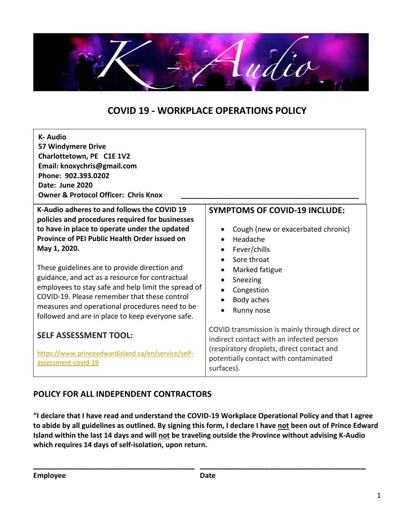

# **COVID 19 - WORKPLACE OPERATIONS POLICY**

| <b>K-Audio</b><br>57 Windymere Drive<br>Charlottetown, PE C1E 1V2<br>Email: knoxychris@gmail.com<br>Phone: 902.393.0202<br>Date: June 2020<br><b>Owner &amp; Protocol Officer: Chris Knox</b>                                                                |                                                                                                                                                                                                |
|--------------------------------------------------------------------------------------------------------------------------------------------------------------------------------------------------------------------------------------------------------------|------------------------------------------------------------------------------------------------------------------------------------------------------------------------------------------------|
| K-Audio adheres to and follows the COVID 19<br>policies and procedures required for businesses                                                                                                                                                               | <b>SYMPTOMS OF COVID-19 INCLUDE:</b>                                                                                                                                                           |
| to have in place to operate under the updated<br>Province of PEI Public Health Order issued on<br>May 1, 2020.<br>These guidelines are to provide direction and                                                                                              | Cough (new or exacerbated chronic)<br>Headache<br>$\bullet$<br>Fever/chills<br>$\bullet$<br>Sore throat<br>$\bullet$<br>Marked fatigue<br>$\bullet$                                            |
| guidance, and act as a resource for contractual<br>employees to stay safe and help limit the spread of<br>COVID-19. Please remember that these control<br>measures and operational procedures need to be<br>followed and are in place to keep everyone safe. | Sneezing<br>$\bullet$<br>Congestion<br>Body aches<br>Runny nose                                                                                                                                |
| <b>SELF ASSESSMENT TOOL:</b><br>https://www.princeedwardisland.ca/en/service/self-<br>assessment-covid-19                                                                                                                                                    | COVID transmission is mainly through direct or<br>indirect contact with an infected person<br>(respiratory droplets, direct contact and<br>potentially contact with contaminated<br>surfaces). |

### **POLICY FOR ALL INDEPENDENT CONTRACTORS**

**"I declare that I have read and understand the COVID-19 Workplace Operational Policy and that I agree to abide by all guidelines as outlined. By signing this form, I declare I have not been out of Prince Edward Island within the last 14 days and will not be traveling outside the Province without advising K-Audio which requires 14 days of self-isolation, upon return.**

**\_\_\_\_\_\_\_\_\_\_\_\_\_\_\_\_\_\_\_\_\_\_\_\_\_\_\_\_\_\_\_\_\_\_\_ \_\_\_\_\_\_\_\_\_\_\_\_\_\_\_\_\_\_\_\_\_\_\_\_\_\_\_\_\_\_\_\_\_\_\_\_**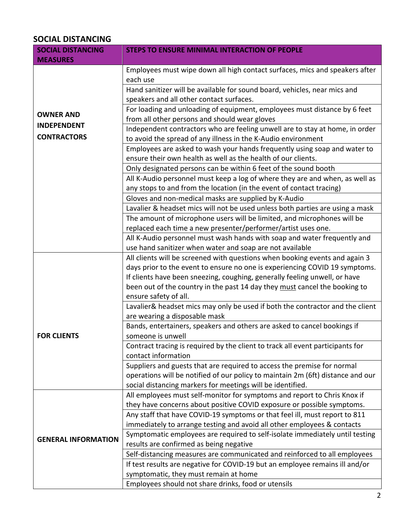## **SOCIAL DISTANCING**

| <b>SOCIAL DISTANCING</b><br><b>MEASURES</b> | <b>STEPS TO ENSURE MINIMAL INTERACTION OF PEOPLE</b>                                                                                       |  |
|---------------------------------------------|--------------------------------------------------------------------------------------------------------------------------------------------|--|
|                                             | Employees must wipe down all high contact surfaces, mics and speakers after<br>each use                                                    |  |
|                                             | Hand sanitizer will be available for sound board, vehicles, near mics and                                                                  |  |
|                                             | speakers and all other contact surfaces.                                                                                                   |  |
| <b>OWNER AND</b>                            | For loading and unloading of equipment, employees must distance by 6 feet                                                                  |  |
| <b>INDEPENDENT</b>                          | from all other persons and should wear gloves                                                                                              |  |
|                                             | Independent contractors who are feeling unwell are to stay at home, in order                                                               |  |
| <b>CONTRACTORS</b>                          | to avoid the spread of any illness in the K-Audio environment                                                                              |  |
|                                             | Employees are asked to wash your hands frequently using soap and water to<br>ensure their own health as well as the health of our clients. |  |
|                                             | Only designated persons can be within 6 feet of the sound booth                                                                            |  |
|                                             | All K-Audio personnel must keep a log of where they are and when, as well as                                                               |  |
|                                             | any stops to and from the location (in the event of contact tracing)                                                                       |  |
|                                             | Gloves and non-medical masks are supplied by K-Audio                                                                                       |  |
|                                             | Lavalier & headset mics will not be used unless both parties are using a mask                                                              |  |
|                                             | The amount of microphone users will be limited, and microphones will be                                                                    |  |
|                                             | replaced each time a new presenter/performer/artist uses one.                                                                              |  |
|                                             | All K-Audio personnel must wash hands with soap and water frequently and                                                                   |  |
|                                             | use hand sanitizer when water and soap are not available                                                                                   |  |
|                                             | All clients will be screened with questions when booking events and again 3                                                                |  |
|                                             | days prior to the event to ensure no one is experiencing COVID 19 symptoms.                                                                |  |
|                                             | If clients have been sneezing, coughing, generally feeling unwell, or have                                                                 |  |
|                                             | been out of the country in the past 14 day they must cancel the booking to                                                                 |  |
|                                             | ensure safety of all.                                                                                                                      |  |
|                                             | Lavalier& headset mics may only be used if both the contractor and the client                                                              |  |
|                                             | are wearing a disposable mask                                                                                                              |  |
| <b>FOR CLIENTS</b>                          | Bands, entertainers, speakers and others are asked to cancel bookings if<br>someone is unwell                                              |  |
|                                             |                                                                                                                                            |  |
|                                             | Contract tracing is required by the client to track all event participants for<br>contact information                                      |  |
|                                             | Suppliers and guests that are required to access the premise for normal                                                                    |  |
|                                             | operations will be notified of our policy to maintain 2m (6ft) distance and our                                                            |  |
|                                             | social distancing markers for meetings will be identified.                                                                                 |  |
|                                             | All employees must self-monitor for symptoms and report to Chris Knox if                                                                   |  |
|                                             | they have concerns about positive COVID exposure or possible symptoms.                                                                     |  |
|                                             | Any staff that have COVID-19 symptoms or that feel ill, must report to 811                                                                 |  |
|                                             | immediately to arrange testing and avoid all other employees & contacts                                                                    |  |
|                                             | Symptomatic employees are required to self-isolate immediately until testing                                                               |  |
| <b>GENERAL INFORMATION</b>                  | results are confirmed as being negative                                                                                                    |  |
|                                             | Self-distancing measures are communicated and reinforced to all employees                                                                  |  |
|                                             | If test results are negative for COVID-19 but an employee remains ill and/or                                                               |  |
|                                             | symptomatic, they must remain at home                                                                                                      |  |
|                                             | Employees should not share drinks, food or utensils                                                                                        |  |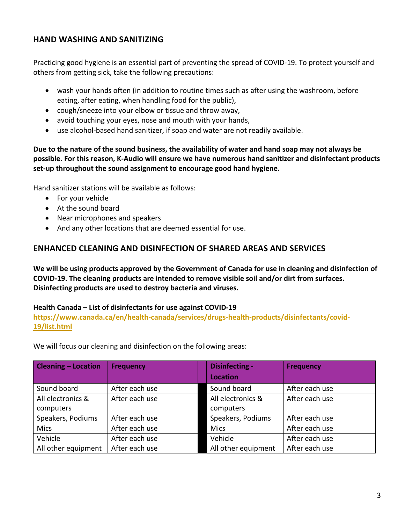### **HAND WASHING AND SANITIZING**

Practicing good hygiene is an essential part of preventing the spread of COVID-19. To protect yourself and others from getting sick, take the following precautions:

- wash your hands often (in addition to routine times such as after using the washroom, before eating, after eating, when handling food for the public),
- cough/sneeze into your elbow or tissue and throw away,
- avoid touching your eyes, nose and mouth with your hands,
- use alcohol-based hand sanitizer, if soap and water are not readily available.

**Due to the nature of the sound business, the availability of water and hand soap may not always be possible. For this reason, K-Audio will ensure we have numerous hand sanitizer and disinfectant products set-up throughout the sound assignment to encourage good hand hygiene.**

Hand sanitizer stations will be available as follows:

- For your vehicle
- At the sound board
- Near microphones and speakers
- And any other locations that are deemed essential for use.

#### **ENHANCED CLEANING AND DISINFECTION OF SHARED AREAS AND SERVICES**

**We will be using products approved by the Government of Canada for use in cleaning and disinfection of COVID-19. The cleaning products are intended to remove visible soil and/or dirt from surfaces. Disinfecting products are used to destroy bacteria and viruses.**

#### **Health Canada – List of disinfectants for use against COVID-19**

**https://www.canada.ca/en/health-canada/services/drugs-health-products/disinfectants/covid-19/list.html**

We will focus our cleaning and disinfection on the following areas:

| <b>Cleaning - Location</b> | <b>Frequency</b> | <b>Disinfecting -</b> | <b>Frequency</b> |
|----------------------------|------------------|-----------------------|------------------|
|                            |                  | <b>Location</b>       |                  |
| Sound board                | After each use   | Sound board           | After each use   |
| All electronics &          | After each use   | All electronics &     | After each use   |
| computers                  |                  | computers             |                  |
| Speakers, Podiums          | After each use   | Speakers, Podiums     | After each use   |
| <b>Mics</b>                | After each use   | <b>Mics</b>           | After each use   |
| Vehicle                    | After each use   | Vehicle               | After each use   |
| All other equipment        | After each use   | All other equipment   | After each use   |